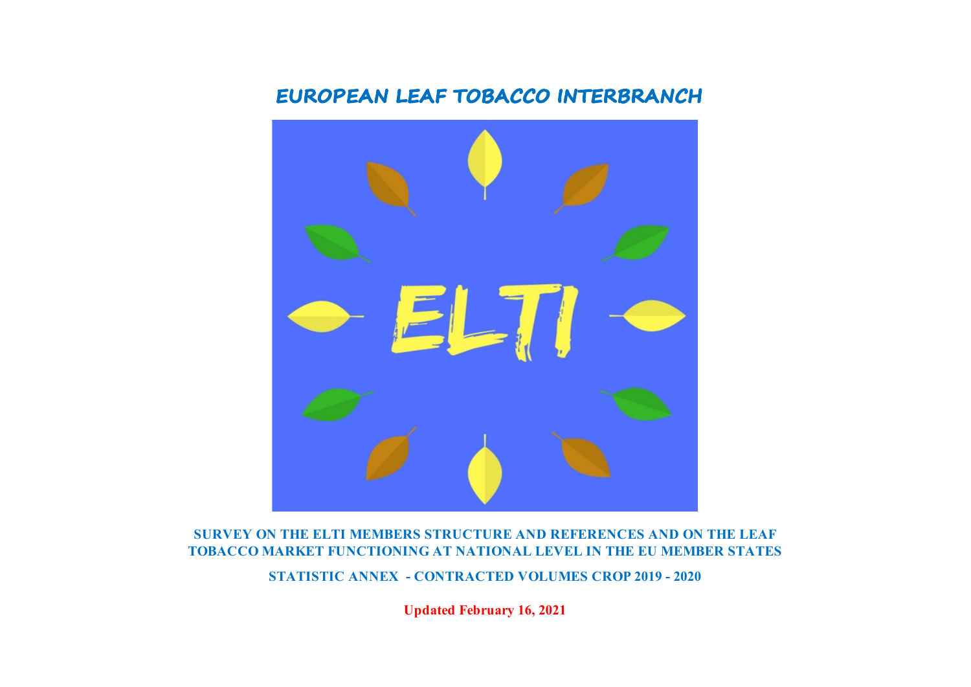# **EUROPEAN LEAF TOBACCO INTERBRANCH**



## **SURVEY ON THE ELTI MEMBERS STRUCTURE AND REFERENCES AND ON THE LEAF TOBACCO MARKET FUNCTIONING AT NATIONAL LEVEL IN THE EU MEMBER STATES**

**STATISTIC ANNEX - CONTRACTED VOLUMES CROP 2019 - 2020**

**Updated February 16, 2021**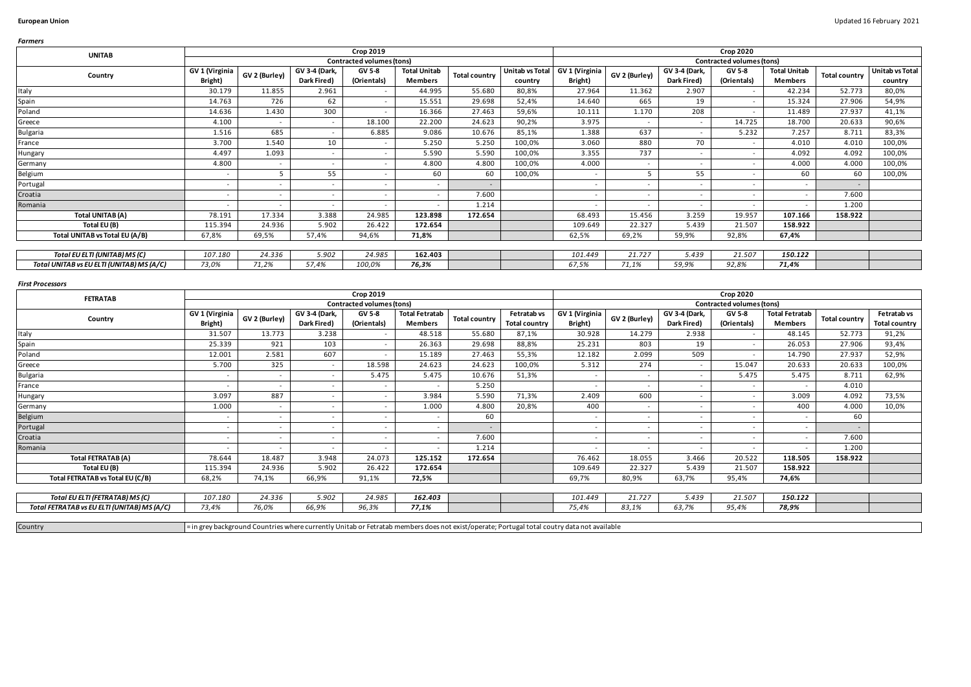| <b>Farmers</b>                            |                          |                          |                          |                           |                          |                      |                 |                          |                          |                          |                                  |                     |                      |                 |
|-------------------------------------------|--------------------------|--------------------------|--------------------------|---------------------------|--------------------------|----------------------|-----------------|--------------------------|--------------------------|--------------------------|----------------------------------|---------------------|----------------------|-----------------|
| <b>UNITAB</b>                             |                          |                          |                          | <b>Crop 2019</b>          |                          |                      |                 |                          |                          |                          | <b>Crop 2020</b>                 |                     |                      |                 |
|                                           |                          |                          |                          | Contracted volumes (tons) |                          |                      |                 |                          |                          |                          | <b>Contracted volumes (tons)</b> |                     |                      |                 |
| Country                                   | GV 1 (Virginia           | GV 2 (Burley)            | GV 3-4 (Dark,            | GV 5-8                    | <b>Total Unitab</b>      | <b>Total country</b> | Unitab vs Total | GV 1 (Virginia           | GV 2 (Burley)            | GV 3-4 (Dark,            | GV 5-8                           | <b>Total Unitab</b> | <b>Total country</b> | Unitab vs Total |
|                                           | Bright)                  |                          | Dark Fired)              | (Orientals)               | <b>Members</b>           |                      | country         | Bright)                  |                          | Dark Fired)              | (Orientals)                      | <b>Members</b>      |                      | country         |
| Italy                                     | 30.179                   | 11.855                   | 2.961                    | $\sim$                    | 44.995                   | 55.680               | 80,8%           | 27.964                   | 11.362                   | 2.907                    | $\overline{\phantom{a}}$         | 42.234              | 52.773               | 80,0%           |
| Spain                                     | 14.763                   | 726                      | 62                       | $\sim$                    | 15.551                   | 29.698               | 52,4%           | 14.640                   | 665                      | 19                       | $\sim$                           | 15.324              | 27.906               | 54,9%           |
| Poland                                    | 14.636                   | 1.430                    | 300                      | $\sim$                    | 16.366                   | 27.463               | 59,6%           | 10.111                   | 1.170                    | 208                      | $\sim$                           | 11.489              | 27.937               | 41,1%           |
| Greece                                    | 4.100                    | $\overline{\phantom{a}}$ | $\overline{\phantom{a}}$ | 18.100                    | 22.200                   | 24.623               | 90,2%           | 3.975                    | $\sim$                   | $\overline{\phantom{a}}$ | 14.725                           | 18.700              | 20.633               | 90,6%           |
| <b>Bulgaria</b>                           | 1.516                    | 685                      | $\overline{\phantom{a}}$ | 6.885                     | 9.086                    | 10.676               | 85,1%           | 1.388                    | 637                      | $\sim$                   | 5.232                            | 7.257               | 8.711                | 83,3%           |
| France                                    | 3.700                    | 1.540                    | 10                       | $\sim$                    | 5.250                    | 5.250                | 100,0%          | 3.060                    | 880                      | 70                       |                                  | 4.010               | 4.010                | 100,0%          |
| Hungary                                   | 4.497                    | 1.093                    | $\overline{\phantom{a}}$ | $\sim$                    | 5.590                    | 5.590                | 100,0%          | 3.355                    | 737                      |                          |                                  | 4.092               | 4.092                | 100,0%          |
| Germany                                   | 4.800                    | $\overline{\phantom{a}}$ |                          | $\sim$                    | 4.800                    | 4.800                | 100,0%          | 4.000                    | $\sim$                   |                          | $\overline{\phantom{a}}$         | 4.000               | 4.000                | 100,0%          |
| Belgium                                   | $\overline{\phantom{a}}$ |                          | 55                       | $\sim$                    | 60                       | 60                   | 100,0%          |                          |                          | 55                       | $\overline{\phantom{a}}$         | 60                  | 60                   | 100,0%          |
| Portugal                                  | $\sim$                   | $\overline{\phantom{a}}$ |                          | $\sim$                    | $\overline{\phantom{a}}$ | $\sim$               |                 | $\overline{\phantom{a}}$ | $\sim$                   | $\sim$                   | $\overline{\phantom{a}}$         | $\sim$              | $\sim$               |                 |
| Croatia                                   |                          | $\overline{\phantom{a}}$ |                          | $\overline{\phantom{a}}$  | $\overline{\phantom{a}}$ | 7.600                |                 |                          | $\overline{\phantom{a}}$ |                          | $\overline{\phantom{a}}$         |                     | 7.600                |                 |
| Romania                                   | $\sim$                   | $\overline{\phantom{a}}$ | $\overline{\phantom{a}}$ | $\sim$                    | $\overline{\phantom{a}}$ | 1.214                |                 | $\overline{\phantom{a}}$ | $\sim$                   | $\sim$                   | $\overline{\phantom{a}}$         |                     | 1.200                |                 |
| Total UNITAB (A)                          | 78.191                   | 17.334                   | 3.388                    | 24.985                    | 123.898                  | 172.654              |                 | 68.493                   | 15.456                   | 3.259                    | 19.957                           | 107.166             | 158.922              |                 |
| Total EU (B)                              | 115.394                  | 24.936                   | 5.902                    | 26.422                    | 172.654                  |                      |                 | 109.649                  | 22.327                   | 5.439                    | 21.507                           | 158.922             |                      |                 |
| Total UNITAB vs Total EU (A/B)            | 67,8%                    | 69,5%                    | 57,4%                    | 94,6%                     | 71,8%                    |                      |                 | 62,5%                    | 69,2%                    | 59,9%                    | 92,8%                            | 67,4%               |                      |                 |
|                                           |                          |                          |                          |                           |                          |                      |                 |                          |                          |                          |                                  |                     |                      |                 |
| Total EU ELTI (UNITAB) MS (C)             | 107.180                  | 24.336                   | 5.902                    | 24.985                    | 162.403                  |                      |                 | 101.449                  | 21.727                   | 5.439                    | 21.507                           | 150.122             |                      |                 |
| Total UNITAB vs EU ELTI (UNITAB) MS (A/C) | 73,0%                    | 71,2%                    | 57,4%                    | 100,0%                    | 76,3%                    |                      |                 | 67,5%                    | 71,1%                    | 59,9%                    | 92,8%                            | 71,4%               |                      |                 |

### *First Processors*

| <b>FETRATAB</b>                             |                          |                          |                          | Crop 2019                 |                          |                          |                      |                          |                          |                          | <b>Crop 2020</b>          |                          |                      |                      |
|---------------------------------------------|--------------------------|--------------------------|--------------------------|---------------------------|--------------------------|--------------------------|----------------------|--------------------------|--------------------------|--------------------------|---------------------------|--------------------------|----------------------|----------------------|
|                                             |                          |                          |                          | Contracted volumes (tons) |                          |                          |                      |                          |                          |                          | Contracted volumes (tons) |                          |                      |                      |
| Country                                     | GV 1 (Virginia           | GV 2 (Burley)            | GV 3-4 (Dark,            | GV 5-8                    | <b>Total Fetratab</b>    | <b>Total country</b>     | Fetratab vs          | GV 1 (Virginia           | GV 2 (Burley)            | GV 3-4 (Dark,            | GV 5-8                    | <b>Total Fetratab</b>    | <b>Total country</b> | Fetratab vs          |
|                                             | Bright)                  |                          | Dark Fired)              | (Orientals)               | <b>Members</b>           |                          | <b>Total country</b> | Bright)                  |                          | Dark Fired)              | (Orientals)               | <b>Members</b>           |                      | <b>Total country</b> |
| Italy                                       | 31.507                   | 13.773                   | 3.238                    | $\sim$                    | 48.518                   | 55.680                   | 87,1%                | 30.928                   | 14.279                   | 2.938                    | $\overline{\phantom{a}}$  | 48.145                   | 52.773               | 91,2%                |
| Spain                                       | 25.339                   | 921                      | 103                      | $\overline{\phantom{a}}$  | 26.363                   | 29.698                   | 88,8%                | 25.231                   | 803                      | 19                       | $\overline{\phantom{a}}$  | 26.053                   | 27.906               | 93,4%                |
| Poland                                      | 12.001                   | 2.581                    | 607                      | $\sim$                    | 15.189                   | 27.463                   | 55,3%                | 12.182                   | 2.099                    | 509                      | $\overline{\phantom{a}}$  | 14.790                   | 27.937               | 52,9%                |
| Greece                                      | 5.700                    | 325                      | $\overline{\phantom{a}}$ | 18.598                    | 24.623                   | 24.623                   | 100,0%               | 5.312                    | 274                      | $\sim$                   | 15.047                    | 20.633                   | 20.633               | 100,0%               |
| <b>Bulgaria</b>                             | $\sim$                   | $\overline{\phantom{a}}$ |                          | 5.475                     | 5.475                    | 10.676                   | 51,3%                | $\overline{\phantom{a}}$ |                          | $\sim$                   | 5.475                     | 5.475                    | 8.711                | 62,9%                |
| France                                      | $\sim$                   | $\overline{\phantom{a}}$ |                          | $\overline{\phantom{a}}$  |                          | 5.250                    |                      | $\overline{\phantom{a}}$ | $\overline{\phantom{a}}$ | $\sim$                   | $\overline{\phantom{a}}$  |                          | 4.010                |                      |
| Hungary                                     | 3.097                    | 887                      | $\overline{\phantom{a}}$ | $\overline{\phantom{a}}$  | 3.984                    | 5.590                    | 71,3%                | 2.409                    | 600                      | $\sim$                   | $\overline{\phantom{a}}$  | 3.009                    | 4.092                | 73,5%                |
| Germany                                     | 1.000                    | $\overline{\phantom{a}}$ |                          | $\sim$                    | 1.000                    | 4.800                    | 20,8%                | 400                      | $\overline{\phantom{a}}$ |                          |                           | 400                      | 4.000                | 10,0%                |
| Belgium                                     | $\overline{\phantom{a}}$ | $\sim$                   |                          | $\overline{\phantom{a}}$  | $\overline{\phantom{a}}$ | 60                       |                      | $\overline{\phantom{a}}$ | $\overline{\phantom{0}}$ | $\overline{\phantom{a}}$ | $\overline{\phantom{a}}$  |                          | 60                   |                      |
| Portugal                                    | $\sim$                   | $\overline{\phantom{0}}$ |                          | $\overline{\phantom{a}}$  | $\sim$                   | $\overline{\phantom{a}}$ |                      | $\overline{\phantom{a}}$ | $\overline{\phantom{a}}$ | $\sim$                   | $\overline{\phantom{a}}$  | $\overline{\phantom{a}}$ | $\sim$               |                      |
| Croatia                                     | $\sim$                   | $\overline{\phantom{a}}$ |                          | $\sim$                    | $\overline{\phantom{a}}$ | 7.600                    |                      | $\overline{\phantom{a}}$ | $\overline{\phantom{a}}$ | $\sim$                   | $\overline{\phantom{a}}$  |                          | 7.600                |                      |
| Romania                                     | $\overline{\phantom{a}}$ | $\overline{\phantom{a}}$ |                          | $\overline{\phantom{a}}$  | $\sim$                   | 1.214                    |                      | $\overline{\phantom{a}}$ | $\overline{\phantom{a}}$ | $\sim$                   | $\overline{\phantom{a}}$  |                          | 1.200                |                      |
| Total FETRATAB (A)                          | 78.644                   | 18.487                   | 3.948                    | 24.073                    | 125.152                  | 172.654                  |                      | 76.462                   | 18.055                   | 3.466                    | 20.522                    | 118.505                  | 158.922              |                      |
| Total EU (B)                                | 115.394                  | 24.936                   | 5.902                    | 26.422                    | 172.654                  |                          |                      | 109.649                  | 22.327                   | 5.439                    | 21.507                    | 158.922                  |                      |                      |
| Total FETRATAB vs Total EU (C/B)            | 68,2%                    | 74,1%                    | 66,9%                    | 91,1%                     | 72,5%                    |                          |                      | 69,7%                    | 80,9%                    | 63,7%                    | 95,4%                     | 74,6%                    |                      |                      |
|                                             |                          |                          |                          |                           |                          |                          |                      |                          |                          |                          |                           |                          |                      |                      |
| Total EU ELTI (FETRATAB) MS (C)             | 107.180                  | 24.336                   | 5.902                    | 24.985                    | 162.403                  |                          |                      | 101.449                  | 21.727                   | 5.439                    | 21.507                    | 150.122                  |                      |                      |
| Total FETRATAB vs EU ELTI (UNITAB) MS (A/C) | 73,4%                    | 76,0%                    | 66,9%                    | 96,3%                     | 77,1%                    |                          |                      | 75,4%                    | 83,1%                    | 63,7%                    | 95,4%                     | 78,9%                    |                      |                      |
|                                             |                          |                          |                          |                           |                          |                          |                      |                          |                          |                          |                           |                          |                      |                      |

Country

= in grey background Countries where currently Unitab or Fetratab members does not exist/operate; Portugal total coutry data not available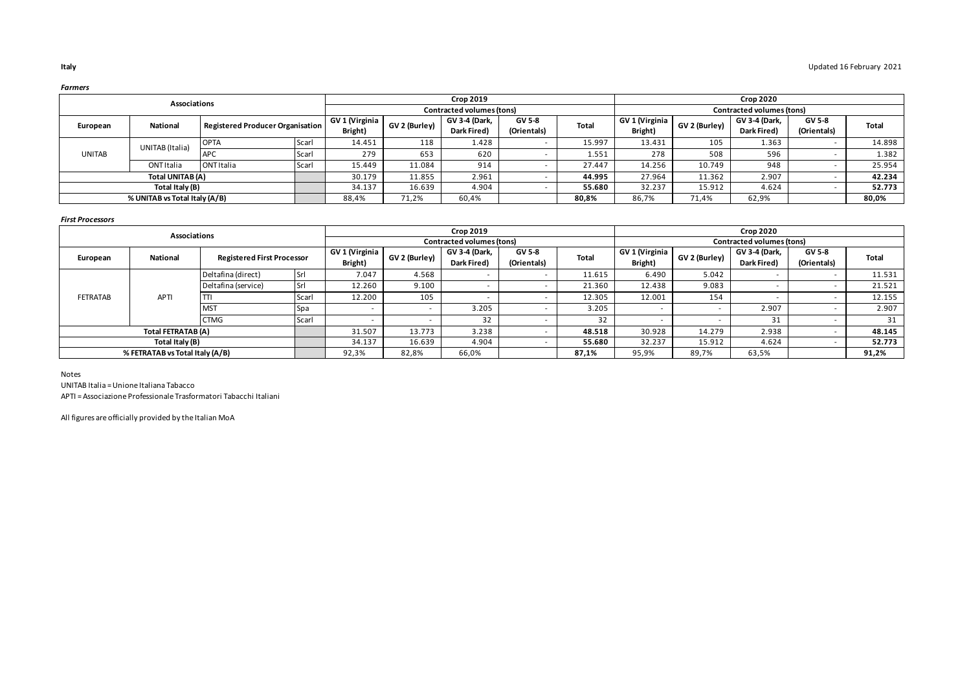|               | Associations                  |                                         |       |                |               | <b>Crop 2019</b>          |             |              |                |               | <b>Crop 2020</b>          |             |        |
|---------------|-------------------------------|-----------------------------------------|-------|----------------|---------------|---------------------------|-------------|--------------|----------------|---------------|---------------------------|-------------|--------|
|               |                               |                                         |       |                |               | Contracted volumes (tons) |             |              |                |               | Contracted volumes (tons) |             |        |
| European      | <b>National</b>               | <b>Registered Producer Organisation</b> |       | GV 1 (Virginia | GV 2 (Burley) | GV 3-4 (Dark,             | GV 5-8      | <b>Total</b> | GV 1 (Virginia | GV 2 (Burley) | GV 3-4 (Dark,             | GV 5-8      | Total  |
|               |                               |                                         |       | Bright)        |               | Dark Fired)               | (Orientals) |              | Bright)        |               | Dark Fired)               | (Orientals) |        |
|               | UNITAB (Italia)               | <b>OPTA</b>                             | Scarl | 14.451         | 118           | 1.428                     |             | 15.997       | 13.431         | 105           | 1.363                     |             | 14.898 |
| <b>UNITAB</b> |                               | <b>APC</b>                              | Scarl | 279            | 653           | 620                       |             | 1.551        | 278            | 508           | 596                       |             | 1.382  |
|               | ONT Italia                    | <b>ONT Italia</b>                       | Scarl | 15.449         | 11.084        | 914                       |             | 27.447       | 14.256         | 10.749        | 948                       |             | 25.954 |
|               | Total UNITAB (A)              |                                         |       | 30.179         | 11.855        | 2.961                     |             | 44.995       | 27.964         | 11.362        | 2.907                     |             | 42.234 |
|               | Total Italy (B)               |                                         |       | 34.137         | 16.639        | 4.904                     |             | 55.680       | 32.237         | 15.912        | 4.624                     |             | 52.773 |
|               | % UNITAB vs Total Italy (A/B) |                                         |       | 88,4%          | 71,2%         | 60,4%                     |             | 80,8%        | 86,7%          | 71,4%         | 62,9%                     |             | 80,0%  |

### *First Processors*

|                 | <b>Associations</b>             |                                   |              |                           |               | <b>Crop 2019</b>             |                              |              |                           |                          | <b>Crop 2020</b>             |                              |              |
|-----------------|---------------------------------|-----------------------------------|--------------|---------------------------|---------------|------------------------------|------------------------------|--------------|---------------------------|--------------------------|------------------------------|------------------------------|--------------|
|                 |                                 |                                   |              |                           |               | Contracted volumes (tons)    |                              |              |                           |                          | Contracted volumes (tons)    |                              |              |
| European        | National                        | <b>Registered First Processor</b> |              | GV 1 (Virginia<br>Bright) | GV 2 (Burley) | GV 3-4 (Dark,<br>Dark Fired) | <b>GV 5-8</b><br>(Orientals) | <b>Total</b> | GV 1 (Virginia<br>Bright) | GV 2 (Burley)            | GV 3-4 (Dark,<br>Dark Fired) | <b>GV 5-8</b><br>(Orientals) | <b>Total</b> |
|                 |                                 | Deltafina (direct)                | <b>Srl</b>   | 7.047                     | 4.568         |                              |                              | 11.615       | 6.490                     | 5.042                    |                              |                              | 11.531       |
|                 |                                 | Deltafina (service)               | <b>Srl</b>   | 12.260                    | 9.100         |                              |                              | 21.360       | 12.438                    | 9.083                    |                              |                              | 21.521       |
| <b>FETRATAB</b> | <b>APTI</b>                     |                                   | <b>Scarl</b> | 12.200                    | 105           |                              |                              | 12.305       | 12.001                    | 154                      |                              |                              | 12.155       |
|                 |                                 | <b>MST</b>                        | Spa          |                           |               | 3.205                        |                              | 3.205        |                           | $\overline{\phantom{a}}$ | 2.907                        |                              | 2.907        |
|                 |                                 | <b>CTMG</b>                       | Scarl        |                           |               | 32                           |                              | 32           |                           |                          | 31                           |                              | 31           |
|                 | Total FETRATAB (A)              |                                   |              | 31.507                    | 13.773        | 3.238                        |                              | 48.518       | 30.928                    | 14.279                   | 2.938                        |                              | 48.145       |
|                 | Total Italy (B)                 |                                   |              | 34.137                    | 16.639        | 4.904                        |                              | 55.680       | 32.237                    | 15.912                   | 4.624                        |                              | 52.773       |
|                 | % FETRATAB vs Total Italy (A/B) |                                   |              | 92,3%                     | 82,8%         | 66,0%                        |                              | 87,1%        | 95,9%                     | 89,7%                    | 63,5%                        |                              | 91,2%        |

### Notes

UNITAB Italia = Unione Italiana Tabacco

APTI = Associazione Professionale Trasformatori Tabacchi Italiani

All figures are officially provided by the Italian MoA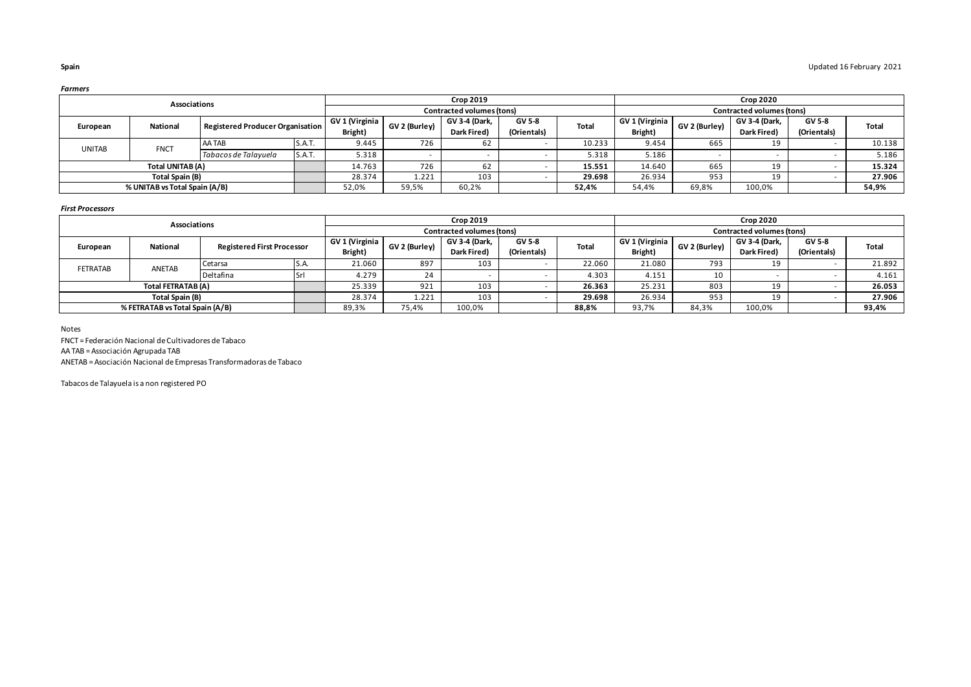|               | Associations                  |                                  |        |                |               | <b>Crop 2019</b>          |             |        |                |               | <b>Crop 2020</b>          |             |        |
|---------------|-------------------------------|----------------------------------|--------|----------------|---------------|---------------------------|-------------|--------|----------------|---------------|---------------------------|-------------|--------|
|               |                               |                                  |        |                |               | Contracted volumes (tons) |             |        |                |               | Contracted volumes (tons) |             |        |
| European      | <b>National</b>               | Registered Producer Organisation |        | GV 1 (Virginia | GV 2 (Burley) | GV 3-4 (Dark.             | GV 5-8      | Total  | GV 1 (Virginia | GV 2 (Burley) | GV 3-4 (Dark.             | GV 5-8      | Total  |
|               |                               |                                  |        | Bright)        |               | Dark Fired)               | (Orientals) |        | Bright)        |               | Dark Fired)               | (Orientals) |        |
| <b>UNITAB</b> | <b>FNCT</b>                   | AA TAB                           | S.A.T. | 9.445          | 726           | 62                        |             | 10.233 | 9.454          | 665           | 19                        |             | 10.138 |
|               |                               | Tabacos de Talavuela             | S.A.T. | 5.318          |               |                           |             | 5.318  | 5.186          |               |                           |             | 5.186  |
|               | Total UNITAB (A)              |                                  |        | 14.763         | 726           |                           |             | 15.551 | 14.640         | 665           | 19                        |             | 15.324 |
|               | Total Spain (B)               |                                  |        | 28.374         | 1.221         | 103                       |             | 29.698 | 26.934         | 953           | 19                        |             | 27.906 |
|               | % UNITAB vs Total Spain (A/B) |                                  |        | 52,0%          | 59,5%         | 60,2%                     |             | 52,4%  | 54,4%          | 69,8%         | 100,0%                    |             | 54,9%  |

### *First Processors*

|                 | Associations                    |                                   |       |                |               | <b>Crop 2019</b>          |             |              |                |               | <b>Crop 2020</b>          |             |        |
|-----------------|---------------------------------|-----------------------------------|-------|----------------|---------------|---------------------------|-------------|--------------|----------------|---------------|---------------------------|-------------|--------|
|                 |                                 |                                   |       |                |               | Contracted volumes (tons) |             |              |                |               | Contracted volumes (tons) |             |        |
| European        | National                        | <b>Registered First Processor</b> |       | GV 1 (Virginia | GV 2 (Burley) | <b>GV 3-4 (Dark.</b>      | GV 5-8      | <b>Total</b> | GV 1 (Virginia | GV 2 (Burley) | GV 3-4 (Dark.             | GV 5-8      | Total  |
|                 |                                 |                                   |       | Bright)        |               | Dark Fired)               | (Orientals) |              | Bright)        |               | Dark Fired)               | (Orientals) |        |
| <b>FETRATAB</b> | ANETAB                          | Cetarsa                           | IS.A. | 21.060         | 897           | 103                       |             | 22.060       | 21.080         | 793           | 19                        |             | 21.892 |
|                 |                                 | Deltafina                         | Srl   | 4.279          | 24            |                           |             | 4.303        | 4.151          | 10            |                           |             | 4.161  |
|                 | Total FETRATAB (A)              |                                   |       | 25.339         | 921           | 103                       |             | 26.363       | 25.231         | 803           | 19                        |             | 26.053 |
|                 | Total Spain (B)                 |                                   |       | 28.374         | 1.221         | 103                       |             | 29.698       | 26.934         | 953           | 19                        |             | 27.906 |
|                 | % FETRATAB vs Total Spain (A/B) |                                   |       | 89,3%          | 75,4%         | 100,0%                    |             | 88,8%        | 93,7%          | 84,3%         | 100,0%                    |             | 93,4%  |

Notes

FNCT = Federación Nacional de Cultivadores de Tabaco

AA TAB = Associación Agrupada TAB

ANETAB = Asociación Nacional de Empresas Transformadoras de Tabaco

Tabacos de Talayuela is a non registered PO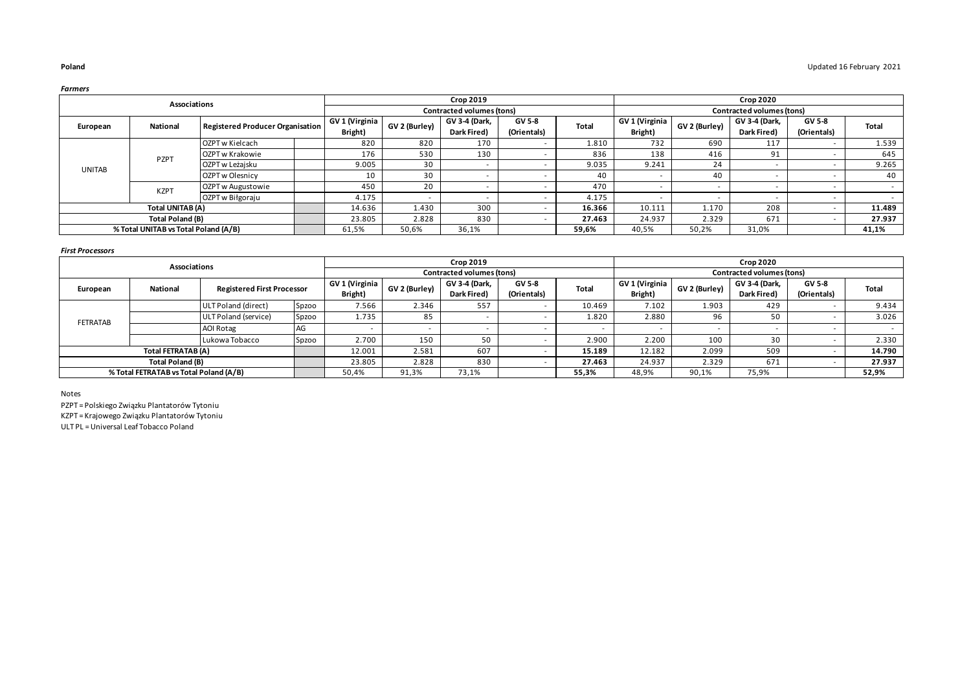|               | Associations                         |                                  |                |               | <b>Crop 2019</b>          |               |              |                |               | <b>Crop 2020</b>          |             |              |
|---------------|--------------------------------------|----------------------------------|----------------|---------------|---------------------------|---------------|--------------|----------------|---------------|---------------------------|-------------|--------------|
|               |                                      |                                  |                |               | Contracted volumes (tons) |               |              |                |               | Contracted volumes (tons) |             |              |
| European      | National                             | Registered Producer Organisation | GV 1 (Virginia | GV 2 (Burley) | GV 3-4 (Dark,             | <b>GV 5-8</b> | <b>Total</b> | GV 1 (Virginia | GV 2 (Burley) | GV 3-4 (Dark,             | GV 5-8      | <b>Total</b> |
|               |                                      |                                  | Bright)        |               | Dark Fired)               | (Orientals)   |              | Bright)        |               | Dark Fired)               | (Orientals) |              |
|               |                                      | OZPT w Kielcach                  | 820            | 820           | 170                       |               | 1.810        | 732            | 690           | 117                       |             | 1.539        |
|               | PZPT                                 | OZPT w Krakowie                  | 176            | 530           | 130                       |               | 836          | 138            | 416           | 91                        |             | 645          |
| <b>UNITAB</b> |                                      | OZPT w Leżajsku                  | 9.005          | 30            |                           |               | 9.035        | 9.241          | 24            |                           |             | 9.265        |
|               |                                      | OZPT w Olesnicy                  | 10             | 30            |                           |               | 40           |                | 40            |                           |             | 40           |
|               | <b>KZPT</b>                          | OZPT w Augustowie                | 450            | 20            |                           |               | 470          |                |               |                           |             |              |
|               |                                      | OZPT w Biłgoraju                 | 4.175          |               |                           |               | 4.175        |                |               |                           |             |              |
|               | Total UNITAB (A)                     |                                  | 14.636         | 1.430         | 300                       |               | 16.366       | 10.111         | 1.170         | 208                       |             | 11.489       |
|               | Total Poland (B)                     |                                  | 23.805         | 2.828         | 830                       |               | 27.463       | 24.937         | 2.329         | 671                       |             | 27.937       |
|               | % Total UNITAB vs Total Poland (A/B) |                                  | 61,5%          | 50,6%         | 36,1%                     |               | 59,6%        | 40,5%          | 50,2%         | 31,0%                     |             | 41,1%        |

### *First Processors*

|                 | Associations                           |                                   |       |                |               | <b>Crop 2019</b>          |             |        |                |               | <b>Crop 2020</b>          |               |              |
|-----------------|----------------------------------------|-----------------------------------|-------|----------------|---------------|---------------------------|-------------|--------|----------------|---------------|---------------------------|---------------|--------------|
|                 |                                        |                                   |       |                |               | Contracted volumes (tons) |             |        |                |               | Contracted volumes (tons) |               |              |
| European        | National                               | <b>Registered First Processor</b> |       | GV 1 (Virginia | GV 2 (Burley) | GV 3-4 (Dark,             | GV 5-8      | Total  | GV 1 (Virginia | GV 2 (Burley) | GV 3-4 (Dark,             | <b>GV 5-8</b> | <b>Total</b> |
|                 |                                        |                                   |       | Bright)        |               | Dark Fired)               | (Orientals) |        | Bright)        |               | Dark Fired)               | (Orientals)   |              |
|                 |                                        | ULT Poland (direct)               | Spzoo | 7.566          | 2.346         | 557                       |             | 10.469 | 7.102          | 1.903         | 429                       |               | 9.434        |
| <b>FETRATAB</b> |                                        | ULT Poland (service)              | Spzoo | 1.735          | 85            |                           |             | 1.820  | 2.880          | 96            | 50                        |               | 3.026        |
|                 |                                        | AOI Rotag                         | AG    |                |               |                           |             |        |                |               |                           |               |              |
|                 |                                        | Lukowa Tobacco                    | Spzoo | 2.700          | 150           | 50                        |             | 2.900  | 2.200          | 100           | 30                        |               | 2.330        |
|                 | Total FETRATAB (A)                     |                                   |       | 12.001         | 2.581         | 607                       |             | 15.189 | 12.182         | 2.099         | 509                       |               | 14.790       |
|                 | Total Poland (B)                       |                                   |       | 23.805         | 2.828         | 830                       |             | 27.463 | 24.937         | 2.329         | 671                       |               | 27.937       |
|                 | % Total FETRATAB vs Total Poland (A/B) |                                   |       | 50,4%          | 91,3%         | 73,1%                     |             | 55,3%  | 48,9%          | 90,1%         | 75,9%                     |               | 52,9%        |

Notes

ULT PL = Universal Leaf Tobacco Poland KZPT = Krajowego Związku Plantatorów Tytoniu PZPT = Polskiego Związku Plantatorów Tytoniu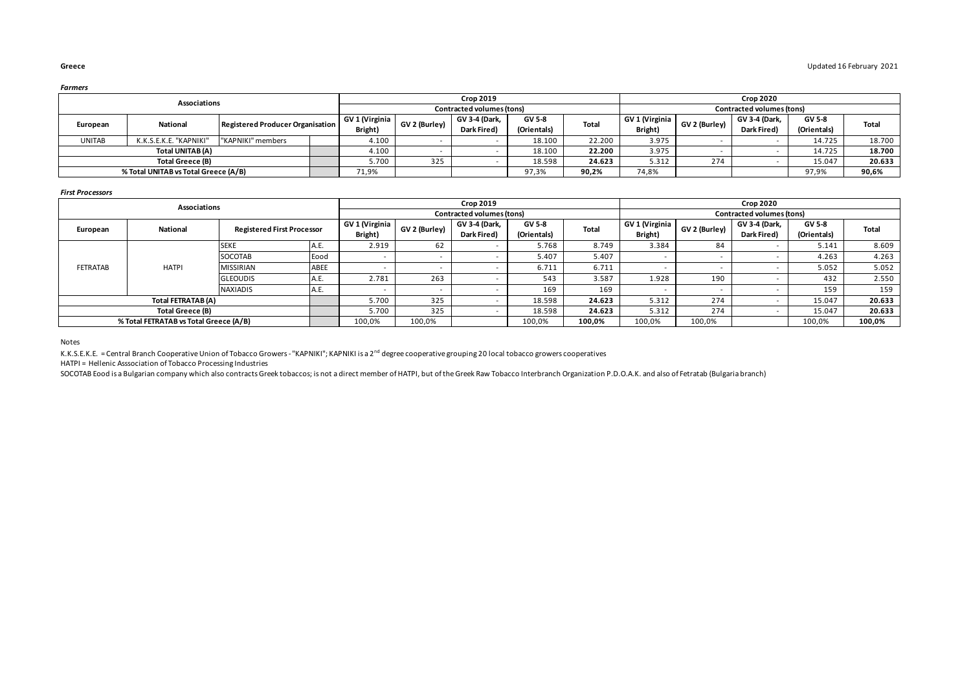|               | Associations                                                    |                   |  |         |                                 | <b>Crop 2019</b>          |             |        |                |               | <b>Crop 2020</b>          |               |        |
|---------------|-----------------------------------------------------------------|-------------------|--|---------|---------------------------------|---------------------------|-------------|--------|----------------|---------------|---------------------------|---------------|--------|
|               |                                                                 |                   |  |         |                                 | Contracted volumes (tons) |             |        |                |               | Contracted volumes (tons) |               |        |
|               | <b>National</b><br>Registered Producer Organisation<br>European |                   |  |         | GV 1 (Virginia<br>GV 2 (Burley) | GV 3-4 (Dark.             | GV 5-8      | Total  | GV 1 (Virginia | GV 2 (Burley) | GV 3-4 (Dark.             | <b>GV 5-8</b> | Total  |
|               |                                                                 |                   |  | Bright) |                                 | Dark Fired)               | (Orientals) |        | Bright)        |               | Dark Fired)               | (Orientals)   |        |
| <b>UNITAB</b> | K.K.S.E.K.E. "KAPNIKI"                                          | "KAPNIKI" members |  | 4.100   |                                 |                           | 18.100      | 22.200 | 3.975          |               |                           | 14.725        | 18.700 |
|               | Total UNITAB (A)                                                |                   |  | 4.100   |                                 |                           | 18.100      | 22.200 | 3.975          |               |                           | 14.725        | 18.700 |
|               | Total Greece (B)                                                |                   |  | 5.700   | 325                             |                           | 18.598      | 24.623 | 5.312          | 274           |                           | 15.047        | 20.633 |
|               | % Total UNITAB vs Total Greece (A/B)                            |                   |  | 71,9%   |                                 |                           | 97,3%       | 90,2%  | 74,8%          |               |                           | 97,9%         | 90,6%  |

### *First Processors*

|                 | Associations                           |                                   |      |                |               | <b>Crop 2019</b>          |               |              |                |               | <b>Crop 2020</b>          |             |        |
|-----------------|----------------------------------------|-----------------------------------|------|----------------|---------------|---------------------------|---------------|--------------|----------------|---------------|---------------------------|-------------|--------|
|                 |                                        |                                   |      |                |               | Contracted volumes (tons) |               |              |                |               | Contracted volumes (tons) |             |        |
| European        | National                               | <b>Registered First Processor</b> |      | GV 1 (Virginia | GV 2 (Burley) | GV 3-4 (Dark,             | <b>GV 5-8</b> | <b>Total</b> | GV 1 (Virginia | GV 2 (Burley) | GV 3-4 (Dark,             | GV 5-8      | Total  |
|                 |                                        |                                   |      | Bright)        |               | Dark Fired)               | (Orientals)   |              | Bright)        |               | Dark Fired)               | (Orientals) |        |
|                 |                                        | <b>SEKE</b>                       | A.C. | 2.919          | 62            |                           | 5.768         | 8.749        | 3.384          | 84            |                           | 5.141       | 8.609  |
|                 |                                        | SOCOTAB                           | Eood |                |               |                           | 5.407         | 5.407        | $\sim$         |               |                           | 4.263       | 4.263  |
| <b>FETRATAB</b> | <b>HATPI</b>                           | <b>MISSIRIAN</b>                  | ABEE |                |               |                           | 6.711         | 6.711        | $\sim$         |               |                           | 5.052       | 5.052  |
|                 |                                        | <b>GLEOUDIS</b>                   | А.С. | 2.781          | 263           |                           | 543           | 3.587        | 1.928          | 190           |                           | 432         | 2.550  |
|                 |                                        | <b>NAXIADIS</b>                   | A.C. |                |               |                           | 169           | 169          |                |               |                           | 159         | 159    |
|                 | Total FETRATAB (A)                     |                                   |      | 5.700          | 325           |                           | 18.598        | 24.623       | 5.312          | 274           |                           | 15.047      | 20.633 |
|                 | Total Greece (B)                       |                                   |      | 5.700          | 325           |                           | 18.598        | 24.623       | 5.312          | 274           |                           | 15.047      | 20.633 |
|                 | % Total FETRATAB vs Total Greece (A/B) |                                   |      | 100,0%         | 100,0%        |                           | 100,0%        | 100,0%       | 100,0%         | 100,0%        |                           | 100,0%      | 100,0% |

Notes

K.K.S.E.K.E. = Central Branch Cooperative Union of Tobacco Growers - "KAPNIKI"; KAPNIKI is a 2<sup>nd</sup> degree cooperative grouping 20 local tobacco growers cooperatives

HATPI = Hellenic Asssociation of Tobacco Processing Industries

SOCOTAB Eood is a Bulgarian company which also contracts Greek tobaccos; is not a direct member of HATPI, but of the Greek Raw Tobacco Interbranch Organization P.D.O.A.K. and also of Fetratab (Bulgaria branch)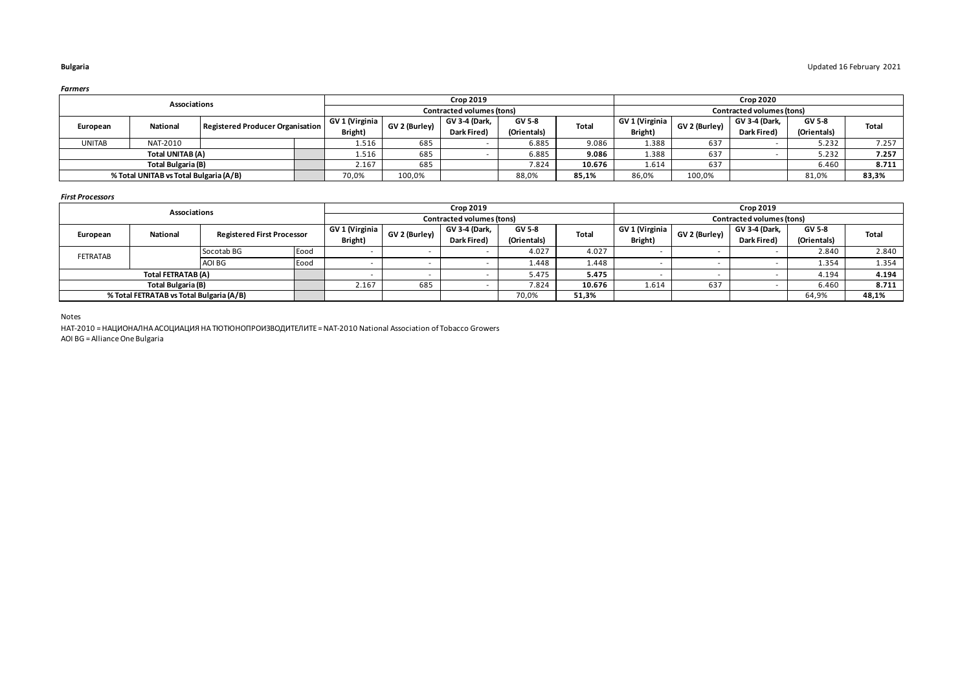|               | Associations                           |                                  |               |                      | <b>Crop 2019</b>          |              |                |               |               | <b>Crop 2020</b>          |              |       |
|---------------|----------------------------------------|----------------------------------|---------------|----------------------|---------------------------|--------------|----------------|---------------|---------------|---------------------------|--------------|-------|
|               |                                        |                                  |               |                      | Contracted volumes (tons) |              |                |               |               | Contracted volumes (tons) |              |       |
| European      | <b>National</b>                        | GV 1 (Virginia                   | GV 2 (Burley) | <b>GV 3-4 (Dark.</b> | GV 5-8                    | <b>Total</b> | GV 1 (Virginia | GV 2 (Burley) | GV 3-4 (Dark, | GV 5-8                    | <b>Total</b> |       |
|               |                                        | Registered Producer Organisation | Bright)       |                      | Dark Fired)               | (Orientals)  |                | Bright)       |               | Dark Fired)               | (Orientals)  |       |
| <b>UNITAB</b> | NAT-2010                               |                                  | 1.516         | 685                  |                           | 6.885        | 9.086          | 1.388         | 637           |                           | 5.232        | 7.257 |
|               | Total UNITAB (A)                       |                                  | 1.516         | 685                  |                           | 6.885        | 9.086          | 1.388         | 637           |                           | 5.232        | 7.257 |
|               | Total Bulgaria (B)                     |                                  | 2.167         | 685                  |                           | 7.824        | 10.676         | 1.614         | 637           |                           | 6.460        | 8.711 |
|               | % Total UNITAB vs Total Bulgaria (A/B) |                                  | 70,0%         | 100,0%               |                           | 88,0%        | 85,1%          | 86,0%         | 100,0%        |                           | 81,0%        | 83,3% |

### *First Processors*

|          | Associations                             |                                   |      |                |               | <b>Crop 2019</b>          |               |        |                |               | <b>Crop 2019</b>          |             |       |
|----------|------------------------------------------|-----------------------------------|------|----------------|---------------|---------------------------|---------------|--------|----------------|---------------|---------------------------|-------------|-------|
|          |                                          |                                   |      |                |               | Contracted volumes (tons) |               |        |                |               | Contracted volumes (tons) |             |       |
| European | National                                 | <b>Registered First Processor</b> |      | GV 1 (Virginia | GV 2 (Burley) | GV 3-4 (Dark.             | <b>GV 5-8</b> | Total  | GV 1 (Virginia | GV 2 (Burley) | GV 3-4 (Dark.             | GV 5-8      | Total |
|          |                                          |                                   |      | Bright)        |               | Dark Fired)               | (Orientals)   |        | Bright)        |               | Dark Fired)               | (Orientals) |       |
| FETRATAB |                                          | Socotab BG                        | Eood |                |               |                           | 4.027         | 4.027  |                |               |                           | 2.840       | 2.840 |
|          |                                          | AOI BG                            | Eood |                |               |                           | 1.448         | 1.448  |                |               |                           | 1.354       | 1.354 |
|          | Total FETRATAB (A)                       |                                   |      |                |               |                           | 5.475         | 5.475  |                |               |                           | 4.194       | 4.194 |
|          | Total Bulgaria (B)                       |                                   |      | 2.167          | 685           |                           | 7.824         | 10.676 | 1.614          | 637           |                           | 6.460       | 8.711 |
|          | % Total FETRATAB vs Total Bulgaria (A/B) |                                   |      |                |               |                           | 70,0%         | 51,3%  |                |               |                           | 64,9%       | 48,1% |

Notes

HAT-2010 = НАЦИОНАЛНА АСОЦИАЦИЯ НА ТЮТЮНОПРОИЗВОДИТЕЛИТЕ = NAT-2010 National Association of Tobacco Growers AOI BG = Alliance One Bulgaria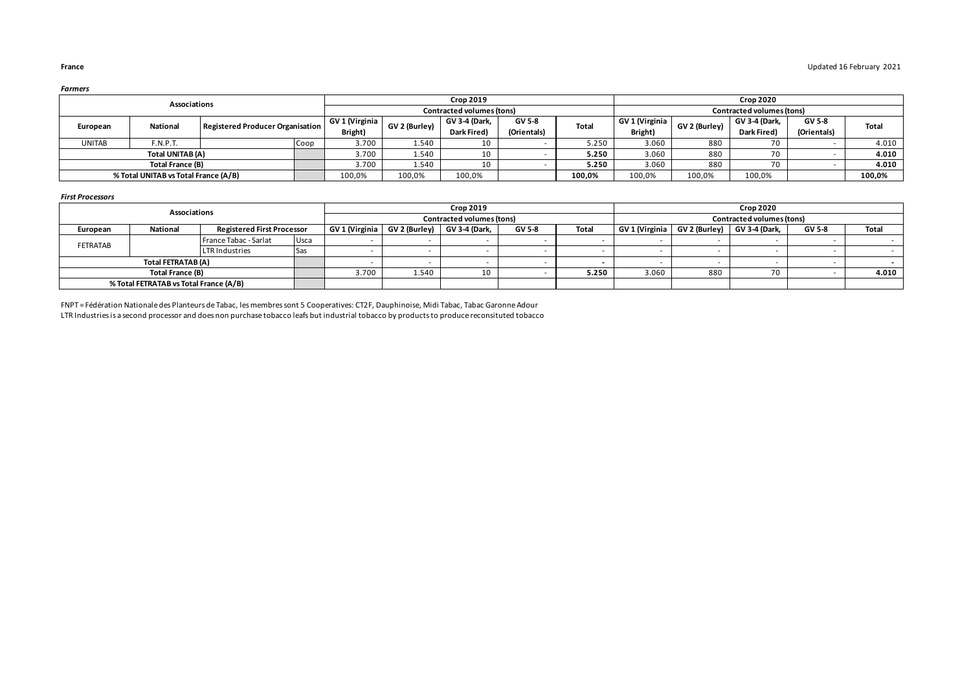|               | Associations                         |                                  |      |                |               | <b>Crop 2019</b>          |             |              |                |               | <b>Crop 2020</b>          |             |              |
|---------------|--------------------------------------|----------------------------------|------|----------------|---------------|---------------------------|-------------|--------------|----------------|---------------|---------------------------|-------------|--------------|
|               |                                      |                                  |      |                |               | Contracted volumes (tons) |             |              |                |               | Contracted volumes (tons) |             |              |
|               | <b>National</b>                      | Registered Producer Organisation |      | GV 1 (Virginia | GV 2 (Burley) | <b>GV 3-4 (Dark.</b>      | GV 5-8      | <b>Total</b> | GV 1 (Virginia | GV 2 (Burley) | GV 3-4 (Dark,             | GV 5-8      | <b>Total</b> |
| European      |                                      |                                  |      | Bright)        |               | Dark Fired)               | (Orientals) |              | Bright)        |               | Dark Fired)               | (Orientals) |              |
| <b>UNITAB</b> | F.N.P.T.                             |                                  | Coop | 3.700          | 1.540         | 10                        |             | 5.250        | 3.060          | 880           | 70                        |             | 4.010        |
|               | Total UNITAB (A)                     |                                  |      | 3.700          | 1.540         | 10                        |             | 5.250        | 3.060          | 880           | 70                        |             | 4.010        |
|               | Total France (B)                     |                                  |      | 3.700          | 1.540         | 10                        |             | 5.250        | 3.060          | 880           | 70                        |             | 4.010        |
|               | % Total UNITAB vs Total France (A/B) |                                  |      | 100,0%         | 100,0%        | 100,0%                    |             | 100,0%       | 100,0%         | 100,0%        | 100,0%                    |             | 100,0%       |

### *First Processors*

|          | Associations                           |                                   |            |                |                                      | <b>Crop 2019</b>          |        |       |                |     | <b>Crop 2020</b>            |               |       |
|----------|----------------------------------------|-----------------------------------|------------|----------------|--------------------------------------|---------------------------|--------|-------|----------------|-----|-----------------------------|---------------|-------|
|          |                                        |                                   |            |                |                                      | Contracted volumes (tons) |        |       |                |     | Contracted volumes (tons)   |               |       |
| European | National                               | <b>Registered First Processor</b> |            | GV 1 (Virginia | $GV$ 2 (Burley) $\mid$ GV 3-4 (Dark, |                           | GV 5-8 | Total | GV 1 (Virginia |     | GV 2 (Burley) GV 3-4 (Dark, | <b>GV 5-8</b> | Total |
|          |                                        | France Tabac - Sarlat             | Usca       |                |                                      |                           |        |       |                |     |                             |               |       |
| FETRATAB |                                        | <b>LTR Industries</b>             | <b>Sas</b> |                |                                      |                           |        |       |                |     |                             |               |       |
|          | Total FETRATAB (A)                     |                                   |            |                |                                      |                           |        |       |                |     |                             |               |       |
|          | Total France (B)                       |                                   |            |                | 1.540                                | 10                        |        | 5.250 | 3.060          | 880 | 70                          |               | 4.010 |
|          | % Total FETRATAB vs Total France (A/B) |                                   |            |                |                                      |                           |        |       |                |     |                             |               |       |

LTR Industries is a second processor and does non purchase tobacco leafs but industrial tobacco by products to produce reconsituted tobacco FNPT = Fédération Nationale des Planteurs de Tabac, les membres sont 5 Cooperatives: CT2F, Dauphinoise, Midi Tabac, Tabac Garonne Adour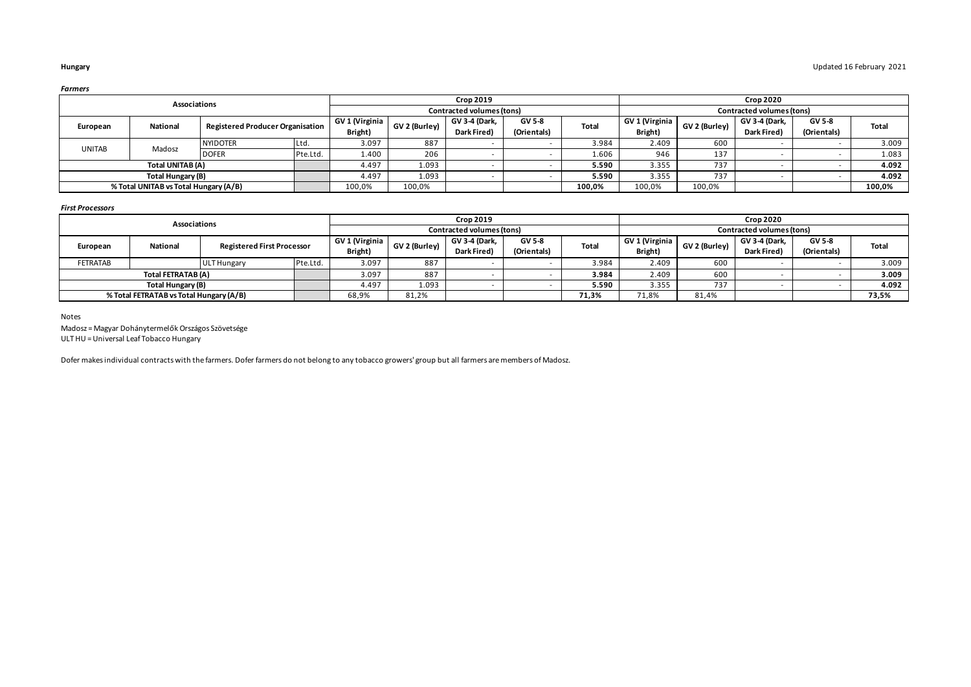|               | Associations                          |                                         |          |                |               | <b>Crop 2019</b>          |               |        |                |               | <b>Crop 2020</b>          |               |        |
|---------------|---------------------------------------|-----------------------------------------|----------|----------------|---------------|---------------------------|---------------|--------|----------------|---------------|---------------------------|---------------|--------|
|               |                                       |                                         |          |                |               | Contracted volumes (tons) |               |        |                |               | Contracted volumes (tons) |               |        |
| European      | National                              | <b>Registered Producer Organisation</b> |          | GV 1 (Virginia | GV 2 (Burley) | GV 3-4 (Dark,             | <b>GV 5-8</b> | Total  | GV 1 (Virginia | GV 2 (Burley) | GV 3-4 (Dark,             | <b>GV 5-8</b> | Total  |
|               |                                       |                                         |          | Bright)        |               | <b>Dark Fired)</b>        | (Orientals)   |        | Bright)        |               | Dark Fired)               | (Orientals)   |        |
| <b>UNITAB</b> | Madosz                                | <b>NYIDOTER</b>                         | Ltd.     | 3.097          | 887           |                           |               | 3.984  | 2.409          | 600           |                           |               | 3.009  |
|               |                                       | <b>DOFER</b>                            | Pte.Ltd. | 1.400          | 206           |                           |               | 1.606  | 946            | 137           |                           |               | 1.083  |
|               | Total UNITAB (A)                      |                                         |          |                | 1.093         |                           |               | 5.590  | 3.355          | 737           |                           |               | 4.092  |
|               | Total Hungary (B)                     |                                         |          | 4.497          | 1.093         |                           |               | 5.590  | 3.355          | 737           |                           |               | 4.092  |
|               | % Total UNITAB vs Total Hungary (A/B) |                                         |          | 100,0%         | 100,0%        |                           |               | 100,0% | 100,0%         | 100,0%        |                           |               | 100,0% |

### *First Processors*

|          | Associations                            |                                   |          |                |               | <b>Crop 2019</b>          |             |              |                |               | <b>Crop 2020</b>          |             |              |
|----------|-----------------------------------------|-----------------------------------|----------|----------------|---------------|---------------------------|-------------|--------------|----------------|---------------|---------------------------|-------------|--------------|
|          |                                         |                                   |          |                |               | Contracted volumes (tons) |             |              |                |               | Contracted volumes (tons) |             |              |
|          | National                                | <b>Registered First Processor</b> |          | GV 1 (Virginia | GV 2 (Burley) | GV 3-4 (Dark,             | GV 5-8      | <b>Total</b> | GV 1 (Virginia | GV 2 (Burley) | GV 3-4 (Dark.             | GV 5-8      | <b>Total</b> |
| European |                                         |                                   |          | Bright)        |               | Dark Fired)               | (Orientals) |              | Bright)        |               | Dark Fired)               | (Orientals) |              |
| FETRATAB |                                         | <b>ULT Hungary</b>                | Pte.Ltd. | 3.097          | 887           |                           |             | 3.984        | 2.409          | 600           |                           |             | 3.009        |
|          | Total FETRATAB (A)                      |                                   |          |                | 887           |                           |             | 3.984        | 2.409          | 600           |                           |             | 3.009        |
|          | Total Hungary (B)                       |                                   |          | 4.497          | 1.093         |                           |             | 5.590        | 3.355          | 737           |                           |             | 4.092        |
|          | % Total FETRATAB vs Total Hungary (A/B) |                                   |          | 68,9%          | 81,2%         |                           |             | 71,3%        | 71,8%          | 81,4%         |                           |             | 73,5%        |

Notes

Madosz = Magyar Dohánytermelők Országos Szövetsége ULT HU = Universal Leaf Tobacco Hungary

Dofer makes individual contracts with the farmers. Dofer farmers do not belong to any tobacco growers' group but all farmers are members of Madosz.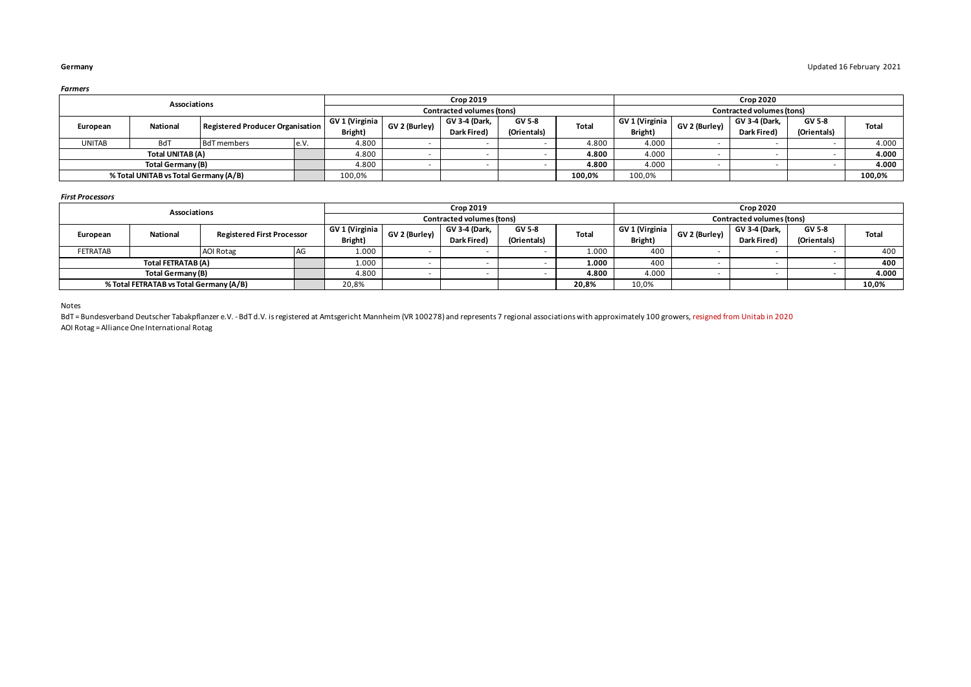| armers |
|--------|
|--------|

|               | Associations                                             |                    |       |                |               | <b>Crop 2019</b>          |               |              |                |               | <b>Crop 2020</b>          |             |              |
|---------------|----------------------------------------------------------|--------------------|-------|----------------|---------------|---------------------------|---------------|--------------|----------------|---------------|---------------------------|-------------|--------------|
|               |                                                          |                    |       |                |               | Contracted volumes (tons) |               |              |                |               | Contracted volumes (tons) |             |              |
|               | Registered Producer Organisation<br>National<br>European |                    |       | GV 1 (Virginia | GV 2 (Burley) | GV 3-4 (Dark,             | <b>GV 5-8</b> | <b>Total</b> | GV 1 (Virginia | GV 2 (Burley) | GV 3-4 (Dark,             | GV 5-8      | <b>Total</b> |
|               |                                                          |                    |       | Bright)        |               | Dark Fired)               | (Orientals)   |              | Bright)        |               | Dark Fired)               | (Orientals) |              |
| <b>UNITAB</b> | <b>BdT</b>                                               | <b>BdT</b> members | le.V. | 4.800          |               |                           |               | 4.800        | 4.000          |               |                           |             | 4.000        |
|               | Total UNITAB (A)                                         |                    |       |                |               |                           |               | 4.800        | 4.000          |               |                           |             | 4.000        |
|               | Total Germany (B)                                        |                    |       | 4.800          |               |                           |               | 4.800        | 4.000          |               |                           |             | 4.000        |
|               | % Total UNITAB vs Total Germany (A/B)                    |                    |       | 100,0%         |               |                           |               | 100,0%       | 100,0%         |               |                           |             | 100,0%       |

### *First Processors*

|                 | Associations                            |                                   |    |                |               | <b>Crop 2019</b>          |               |       |                |               | <b>Crop 2020</b>          |             |              |
|-----------------|-----------------------------------------|-----------------------------------|----|----------------|---------------|---------------------------|---------------|-------|----------------|---------------|---------------------------|-------------|--------------|
|                 |                                         |                                   |    |                |               | Contracted volumes (tons) |               |       |                |               | Contracted volumes (tons) |             |              |
| European        | National                                | <b>Registered First Processor</b> |    | GV 1 (Virginia | GV 2 (Burley) | GV 3-4 (Dark.             | <b>GV 5-8</b> | Total | GV 1 (Virginia | GV 2 (Burley) | GV 3-4 (Dark,             | GV 5-8      | <b>Total</b> |
|                 |                                         |                                   |    | Bright)        |               | Dark Fired)               | (Orientals)   |       | Bright)        |               | Dark Fired)               | (Orientals) |              |
| <b>FETRATAB</b> |                                         | <b>AOI Rotag</b>                  | AG | 1.000          |               |                           |               | 1.000 | 400            |               |                           |             | 400          |
|                 | Total FETRATAB (A)                      |                                   |    | 1.000          |               |                           |               | 1.000 | 400            |               |                           |             | 400          |
|                 | Total Germany (B)                       |                                   |    | 4.800          |               |                           |               | 4.800 | 4.000          |               |                           |             | 4.000        |
|                 | % Total FETRATAB vs Total Germany (A/B) |                                   |    |                |               |                           |               | 20,8% | 10,0%          |               |                           |             | 10,0%        |

Notes

BdT = Bundesverband Deutscher Tabakpflanzer e.V. - BdT d.V. is registered at Amtsgericht Mannheim (VR 100278) and represents 7 regional associations with approximately 100 growers, resigned from Unitab in 2020 AOI Rotag = Alliance One International Rotag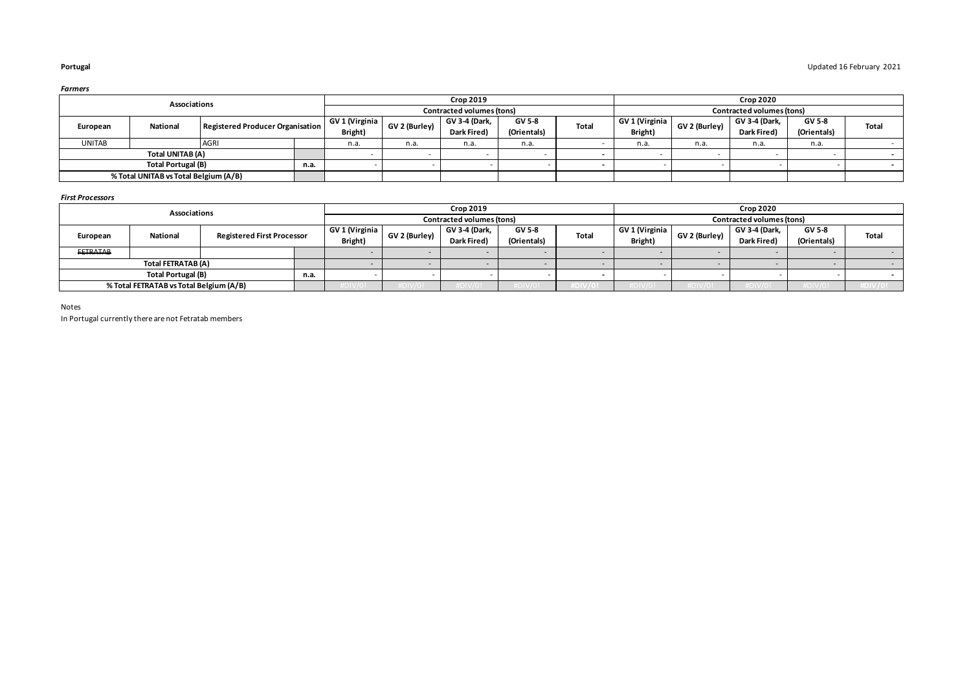|               | Associations                                                    |             |  |                |               | <b>Crop 2019</b>          |             |              |                |               | <b>Crop 2020</b>          |             |       |
|---------------|-----------------------------------------------------------------|-------------|--|----------------|---------------|---------------------------|-------------|--------------|----------------|---------------|---------------------------|-------------|-------|
|               |                                                                 |             |  |                |               | Contracted volumes (tons) |             |              |                |               | Contracted volumes (tons) |             |       |
|               | Registered Producer Organisation<br><b>National</b><br>European |             |  | GV 1 (Virginia | GV 2 (Burley) | GV 3-4 (Dark,             | GV 5-8      | <b>Total</b> | GV 1 (Virginia | GV 2 (Burley) | GV 3-4 (Dark,             | GV 5-8      | Total |
|               |                                                                 |             |  | Bright)        |               | Dark Fired)               | (Orientals) |              | Bright)        |               | Dark Fired)               | (Orientals) |       |
| <b>UNITAB</b> |                                                                 | <b>AGRI</b> |  | n.a.           | n.a.          | n.a.                      | n.a.        |              | n.a.           | n.a.          | n.a.                      | n.a.        |       |
|               | Total UNITAB (A)                                                |             |  |                |               |                           |             |              |                |               |                           |             |       |
|               | <b>Total Portugal (B)</b><br>n.a.                               |             |  |                |               |                           |             |              |                |               |                           |             |       |
|               | % Total UNITAB vs Total Belgium (A/B)                           |             |  |                |               |                           |             |              |                |               |                           |             |       |

### *First Processors*

|                 | Associations                            |                                   |  |                            |               | <b>Crop 2019</b>             |                       |       |                           |               | <b>Crop 2020</b>             |                              |                |
|-----------------|-----------------------------------------|-----------------------------------|--|----------------------------|---------------|------------------------------|-----------------------|-------|---------------------------|---------------|------------------------------|------------------------------|----------------|
|                 |                                         |                                   |  |                            |               | Contracted volumes (tons)    |                       |       |                           |               | Contracted volumes (tons)    |                              |                |
| European        | National                                | <b>Registered First Processor</b> |  | GV 1 (Virginia)<br>Bright) | GV 2 (Burley) | GV 3-4 (Dark,<br>Dark Fired) | GV 5-8<br>(Orientals) | Total | GV 1 (Virginia<br>Bright) | GV 2 (Burley) | GV 3-4 (Dark,<br>Dark Fired) | <b>GV 5-8</b><br>(Orientals) | Total          |
| <b>FETRATAB</b> |                                         |                                   |  |                            |               |                              |                       |       |                           |               |                              |                              | <b>COLLEGE</b> |
|                 | Total FETRATAB (A)                      |                                   |  |                            |               |                              |                       |       |                           |               |                              |                              |                |
|                 | <b>Total Portugal (B)</b><br>n.a.       |                                   |  |                            |               |                              |                       |       |                           |               |                              |                              |                |
|                 | % Total FETRATAB vs Total Belgium (A/B) |                                   |  |                            |               | 7 L J V / U                  | <b>DIVIU</b>          |       | 7 LU I V / U              |               |                              |                              |                |

Notes

In Portugal currently there are not Fetratab members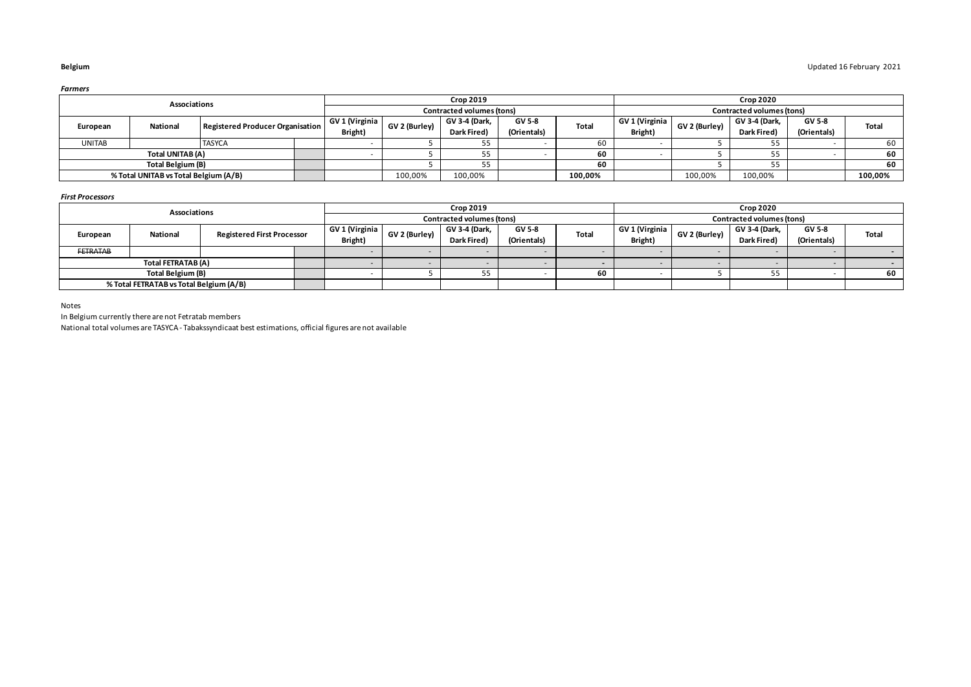|               | Associations                          |                                  |                |               | <b>Crop 2019</b>          |             |              |                |               | <b>Crop 2020</b>          |             |              |
|---------------|---------------------------------------|----------------------------------|----------------|---------------|---------------------------|-------------|--------------|----------------|---------------|---------------------------|-------------|--------------|
|               |                                       |                                  |                |               | Contracted volumes (tons) |             |              |                |               | Contracted volumes (tons) |             |              |
|               | <b>National</b>                       | Registered Producer Organisation | GV 1 (Virginia | GV 2 (Burley) | <b>GV 3-4 (Dark.</b>      | GV 5-8      | <b>Total</b> | GV 1 (Virginia | GV 2 (Burley) | <b>GV 3-4 (Dark,</b>      | GV 5-8      | <b>Total</b> |
| European      |                                       |                                  | Bright)        |               | Dark Fired)               | (Orientals) |              | Bright)        |               | Dark Fired)               | (Orientals) |              |
| <b>UNITAB</b> |                                       | <b>TASYCA</b>                    |                |               | <b>JJ</b>                 |             | 60           |                |               | 55.<br>ر ر                |             | 60           |
|               | Total UNITAB (A)                      |                                  |                |               |                           |             | 60           |                |               |                           |             | 60           |
|               | Total Belgium (B)                     |                                  |                |               |                           |             | 60           |                |               | 55.                       |             | 60           |
|               | % Total UNITAB vs Total Belgium (A/B) |                                  |                | 100,00%       | 100,00%                   |             | 100,00%      |                | 100,00%       | 100,00%                   |             | 100,00%      |

### *First Processors*

|                 | Associations                                  |  |  |                |               | <b>Crop 2019</b>          |             |       |                |               | <b>Crop 2020</b>          |             |       |
|-----------------|-----------------------------------------------|--|--|----------------|---------------|---------------------------|-------------|-------|----------------|---------------|---------------------------|-------------|-------|
|                 |                                               |  |  |                |               | Contracted volumes (tons) |             |       |                |               | Contracted volumes (tons) |             |       |
| European        | National<br><b>Registered First Processor</b> |  |  | GV 1 (Virginia | GV 2 (Burley) | GV 3-4 (Dark,             | GV 5-8      | Total | GV 1 (Virginia | GV 2 (Burley) | GV 3-4 (Dark,             | GV 5-8      | Total |
|                 |                                               |  |  | Bright)        |               | Dark Fired)               | (Orientals) |       | Bright)        |               | Dark Fired)               | (Orientals) |       |
| <b>FETRATAB</b> |                                               |  |  |                |               |                           |             |       |                |               |                           |             |       |
|                 | Total FETRATAB (A)                            |  |  |                |               |                           |             |       |                |               |                           |             |       |
|                 | Total Belgium (B)                             |  |  |                |               |                           |             | 60    |                |               |                           |             | 60    |
|                 | % Total FETRATAB vs Total Belgium (A/B)       |  |  |                |               |                           |             |       |                |               |                           |             |       |

Notes

In Belgium currently there are not Fetratab members

National total volumes are TASYCA - Tabakssyndicaat best estimations, official figures are not available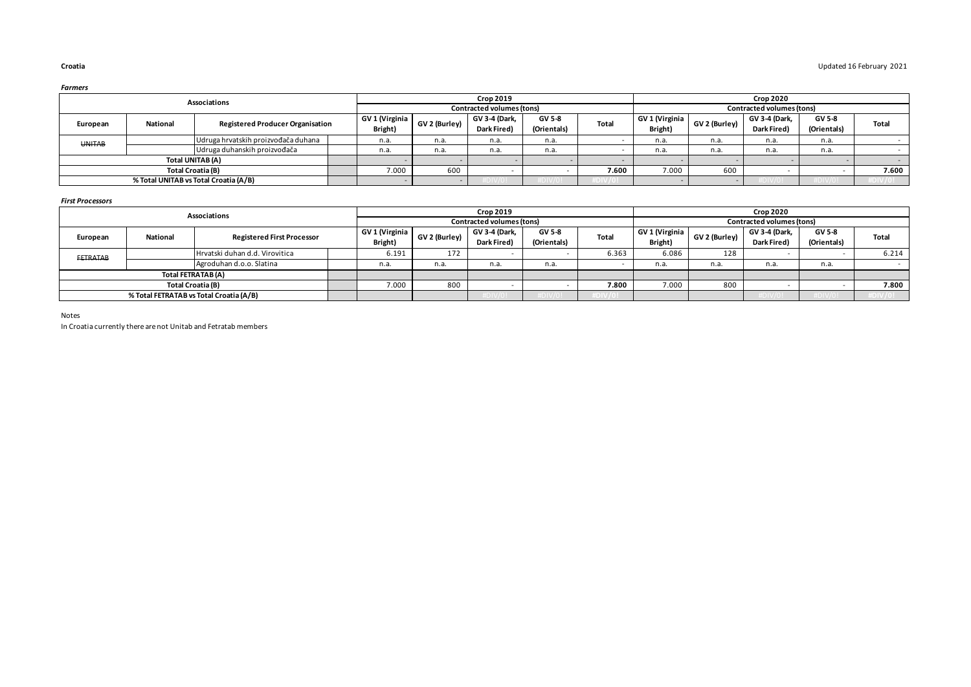|          |                                                      | Associations                 |                                                           |      |      | <b>Crop 2019</b>             |                       |       |                           |               | <b>Crop 2020</b>             |                       |              |
|----------|------------------------------------------------------|------------------------------|-----------------------------------------------------------|------|------|------------------------------|-----------------------|-------|---------------------------|---------------|------------------------------|-----------------------|--------------|
|          |                                                      |                              |                                                           |      |      | Contracted volumes (tons)    |                       |       |                           |               | Contracted volumes (tons)    |                       |              |
| European | National                                             |                              | GV 1 (Virginia<br><b>Registered Producer Organisation</b> |      |      | GV 3-4 (Dark.<br>Dark Fired) | GV 5-8<br>(Orientals) | Total | GV 1 (Virginia<br>Bright) | GV 2 (Burley) | GV 3-4 (Dark.<br>Dark Fired) | GV 5-8<br>(Orientals) | <b>Total</b> |
|          | Udruga hrvatskih proizvođača duhana<br><b>UNITAB</b> |                              |                                                           | n.a. | n.a. | n.a.                         | n.a.                  |       | n.a.                      | n.a.          | n.a.                         | n.a.                  |              |
|          |                                                      | Udruga duhanskih proizvođača |                                                           | n.a. | n.a. | n.a.                         | n.a.                  |       | n.a.                      | n.a.          | n.a.                         | n.a.                  |              |
|          | Total UNITAB (A)                                     |                              |                                                           |      |      |                              |                       |       |                           |               |                              |                       |              |
|          | <b>Total Croatia (B)</b>                             |                              |                                                           |      | 600  |                              |                       | 7.600 | 7.000                     | 600           |                              |                       | 7.600        |
|          | % Total UNITAB vs Total Croatia (A/B)                |                              |                                                           |      |      |                              |                       |       |                           |               |                              |                       |              |

*First Processors*

|                   |          | <b>Crop 2019</b>                        |                           |               |                              |                       | <b>Crop 2020</b> |                           |                           |                                    |                              |       |
|-------------------|----------|-----------------------------------------|---------------------------|---------------|------------------------------|-----------------------|------------------|---------------------------|---------------------------|------------------------------------|------------------------------|-------|
|                   |          | Associations                            |                           |               | Contracted volumes (tons)    |                       |                  |                           | Contracted volumes (tons) |                                    |                              |       |
| European          | National | <b>Registered First Processor</b>       | GV 1 (Virginia<br>Bright) | GV 2 (Burley) | GV 3-4 (Dark,<br>Dark Fired) | GV 5-8<br>(Orientals) | <b>Total</b>     | GV 1 (Virginia<br>Bright) | GV 2 (Burley)             | GV 3-4 (Dark,<br><b>Dark Fired</b> | <b>GV 5-8</b><br>(Orientals) | Total |
| <b>FETRATAB</b>   |          | Hrvatski duhan d.d. Virovitica          | 6.191                     | 172           |                              |                       | 6.363            | 6.086                     | 128                       |                                    |                              | 6.214 |
|                   |          | Agroduhan d.o.o. Slatina                | n.a.                      | n.a.          | n.a.                         | n.a.                  |                  | n.a.                      | n.a.                      | n.a.                               | n.a.                         |       |
|                   |          | Total FETRATAB (A)                      |                           |               |                              |                       |                  |                           |                           |                                    |                              |       |
| Total Croatia (B) |          |                                         | 7.000                     | 800           |                              |                       | 7.800            | 7.000                     | 800                       |                                    |                              | 7.800 |
|                   |          | % Total FETRATAB vs Total Croatia (A/B) |                           |               |                              |                       | #DIV/0!          |                           |                           |                                    |                              |       |

Notes

In Croatia currently there are not Unitab and Fetratab members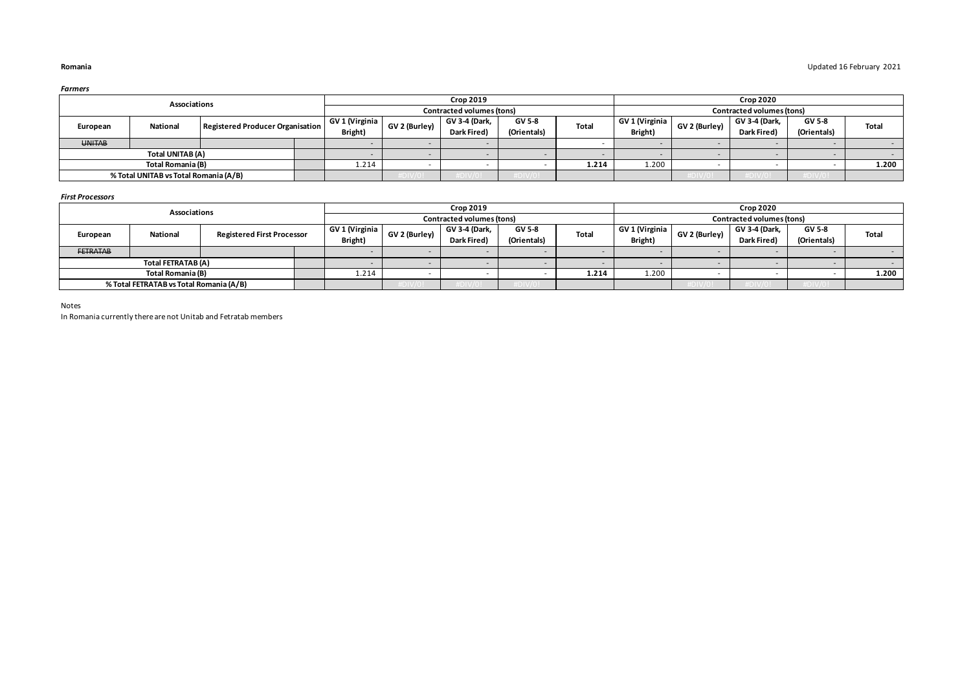| Associations      |                                       |                                  |  | <b>Crop 2019</b> |               |                           |             | <b>Crop 2020</b> |                |                                                                                                     |       |  |              |
|-------------------|---------------------------------------|----------------------------------|--|------------------|---------------|---------------------------|-------------|------------------|----------------|-----------------------------------------------------------------------------------------------------|-------|--|--------------|
|                   |                                       |                                  |  |                  |               | Contracted volumes (tons) |             |                  |                | Contracted volumes (tons)<br>GV 3-4 (Dark,<br>GV 5-8<br>GV 2 (Burley)<br>(Orientals)<br>Dark Fired) |       |  |              |
| European          | National                              | Registered Producer Organisation |  | GV 1 (Virginia   | GV 2 (Burley) | GV 3-4 (Dark,             | GV 5-8      | <b>Total</b>     | GV 1 (Virginia |                                                                                                     |       |  | <b>Total</b> |
|                   |                                       |                                  |  | Bright)          |               | Dark Fired)               | (Orientals) |                  | Bright)        |                                                                                                     |       |  |              |
| <b>UNITAB</b>     |                                       |                                  |  |                  |               |                           |             |                  |                |                                                                                                     |       |  |              |
|                   | Total UNITAB (A)                      |                                  |  |                  |               |                           |             |                  |                |                                                                                                     |       |  |              |
| Total Romania (B) |                                       | 1.214                            |  |                  |               | 1.214                     | 1.200       |                  |                |                                                                                                     | 1.200 |  |              |
|                   | % Total UNITAB vs Total Romania (A/B) |                                  |  |                  |               |                           |             |                  |                |                                                                                                     |       |  |              |

### *First Processors*

| Associations    |                                         |                                   |  | <b>Crop 2019</b>                                       |               |               |                        |                | <b>Crop 2020</b> |               |             |             |        |
|-----------------|-----------------------------------------|-----------------------------------|--|--------------------------------------------------------|---------------|---------------|------------------------|----------------|------------------|---------------|-------------|-------------|--------|
|                 |                                         |                                   |  | Contracted volumes (tons)<br>Contracted volumes (tons) |               |               |                        |                |                  |               |             |             |        |
| European        | <b>National</b>                         | <b>Registered First Processor</b> |  | GV 1 (Virginia                                         | GV 2 (Burley) | GV 3-4 (Dark, | GV 5-8<br><b>Total</b> | GV 1 (Virginia | GV 2 (Burley)    | GV 3-4 (Dark, | GV 5-8      | Total       |        |
|                 |                                         |                                   |  | Bright)                                                |               | Dark Fired)   | (Orientals)            |                | Bright)          |               | Dark Fired) | (Orientals) |        |
| <b>FETRATAB</b> |                                         |                                   |  |                                                        |               |               |                        |                |                  |               |             |             |        |
|                 | Total FETRATAB (A)                      |                                   |  |                                                        |               |               |                        |                |                  |               |             |             | $\sim$ |
|                 | Total Romania (B)                       |                                   |  | 1.214                                                  |               |               |                        | 1.214          | 1.200            |               |             | 1.200       |        |
|                 | % Total FETRATAB vs Total Romania (A/B) |                                   |  |                                                        |               |               | UIVIU                  |                |                  |               |             |             |        |

Notes

In Romania currently there are not Unitab and Fetratab members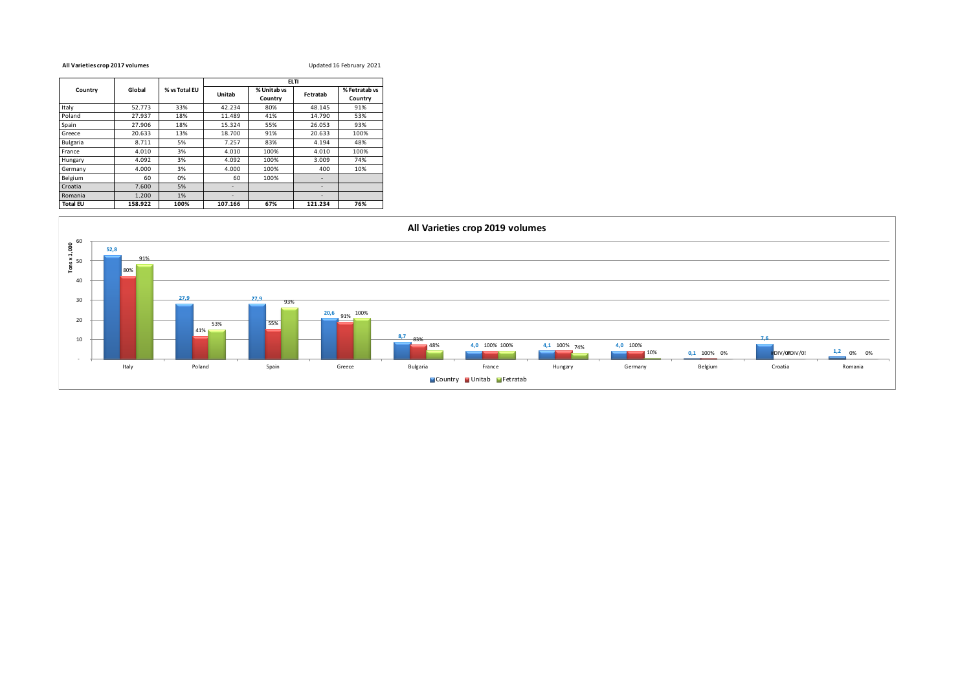### **All Varieties crop 2017 volumes** Updated 16 February 2021

|                 |         |               | <b>ELTI</b>              |                        |          |                          |  |  |  |
|-----------------|---------|---------------|--------------------------|------------------------|----------|--------------------------|--|--|--|
| Country         | Global  | % vs Total EU | Unitab                   | % Unitab vs<br>Country | Fetratab | % Fetratab vs<br>Country |  |  |  |
| Italy           | 52.773  | 33%           | 42.234                   | 80%                    | 48.145   | 91%                      |  |  |  |
| Poland          | 27.937  | 18%           | 11.489                   | 41%                    | 14.790   | 53%                      |  |  |  |
| Spain           | 27.906  | 18%           | 15.324                   | 55%                    | 26.053   | 93%                      |  |  |  |
| Greece          | 20.633  | 13%           | 18.700                   | 91%                    | 20.633   | 100%                     |  |  |  |
| <b>Bulgaria</b> | 8.711   | 5%            | 7.257                    | 83%                    | 4.194    | 48%                      |  |  |  |
| France          | 4.010   | 3%            | 4.010                    | 100%                   | 4.010    | 100%                     |  |  |  |
| Hungary         | 4.092   | 3%            | 4.092                    | 100%                   | 3.009    | 74%                      |  |  |  |
| Germany         | 4.000   | 3%            | 4.000                    | 100%                   | 400      | 10%                      |  |  |  |
| Belgium         | 60      | 0%            | 60                       | 100%                   |          |                          |  |  |  |
| Croatia         | 7.600   | 5%            |                          |                        |          |                          |  |  |  |
| Romania         | 1.200   | 1%            | $\overline{\phantom{a}}$ |                        |          |                          |  |  |  |
| <b>Total EU</b> | 158.922 | 100%          | 107.166                  | 67%                    | 121.234  | 76%                      |  |  |  |

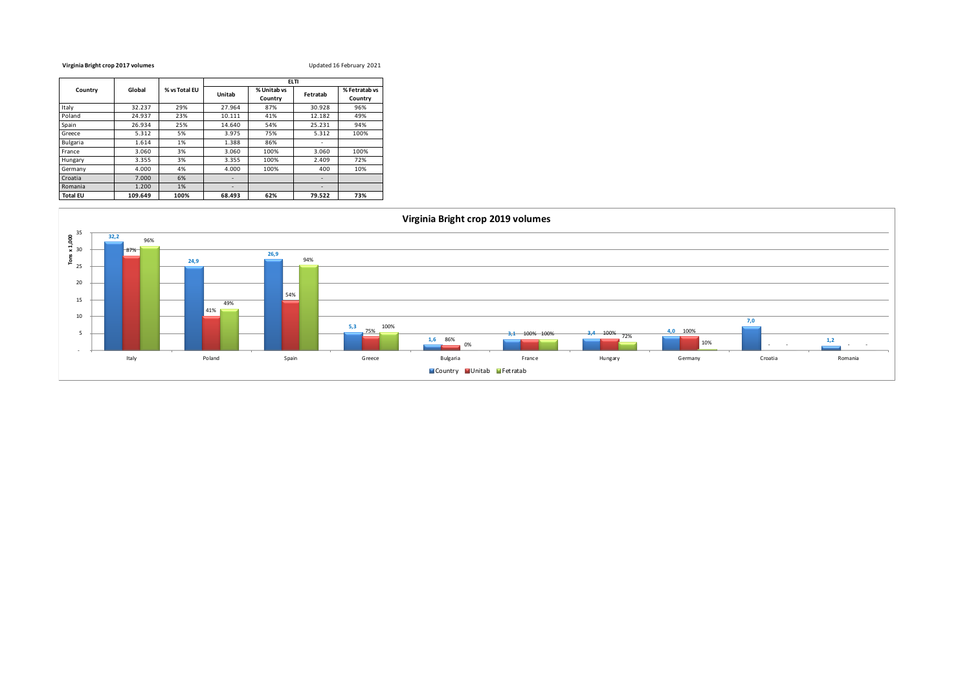### **Virginia Bright crop 2017 volumes** Updated 16 February 2021

|                 |         |               | <b>ELTI</b> |                        |                          |                          |  |  |  |
|-----------------|---------|---------------|-------------|------------------------|--------------------------|--------------------------|--|--|--|
| Country         | Global  | % vs Total EU | Unitab      | % Unitab vs<br>Country | Fetratab                 | % Fetratab vs<br>Country |  |  |  |
| Italy           | 32.237  | 29%           | 27.964      | 87%                    | 30.928                   | 96%                      |  |  |  |
| Poland          | 24.937  | 23%           | 10.111      | 41%                    | 12.182                   | 49%                      |  |  |  |
| Spain           | 26.934  | 25%           | 14.640      | 54%                    | 25.231                   | 94%                      |  |  |  |
| Greece          | 5.312   | 5%            | 3.975       | 75%                    | 5.312                    | 100%                     |  |  |  |
| <b>Bulgaria</b> | 1.614   | 1%            | 1.388       | 86%                    | ٠                        |                          |  |  |  |
| France          | 3.060   | 3%            | 3.060       | 100%                   | 3.060                    | 100%                     |  |  |  |
| Hungary         | 3.355   | 3%            | 3.355       | 100%                   | 2.409                    | 72%                      |  |  |  |
| Germany         | 4.000   | 4%            | 4.000       | 100%                   | 400                      | 10%                      |  |  |  |
| Croatia         | 7.000   | 6%            |             |                        | $\overline{\phantom{a}}$ |                          |  |  |  |
| Romania         | 1.200   | 1%            | ۰           |                        |                          |                          |  |  |  |
| <b>Total EU</b> | 109.649 | 100%          | 68.493      | 62%                    | 79.522                   | 73%                      |  |  |  |

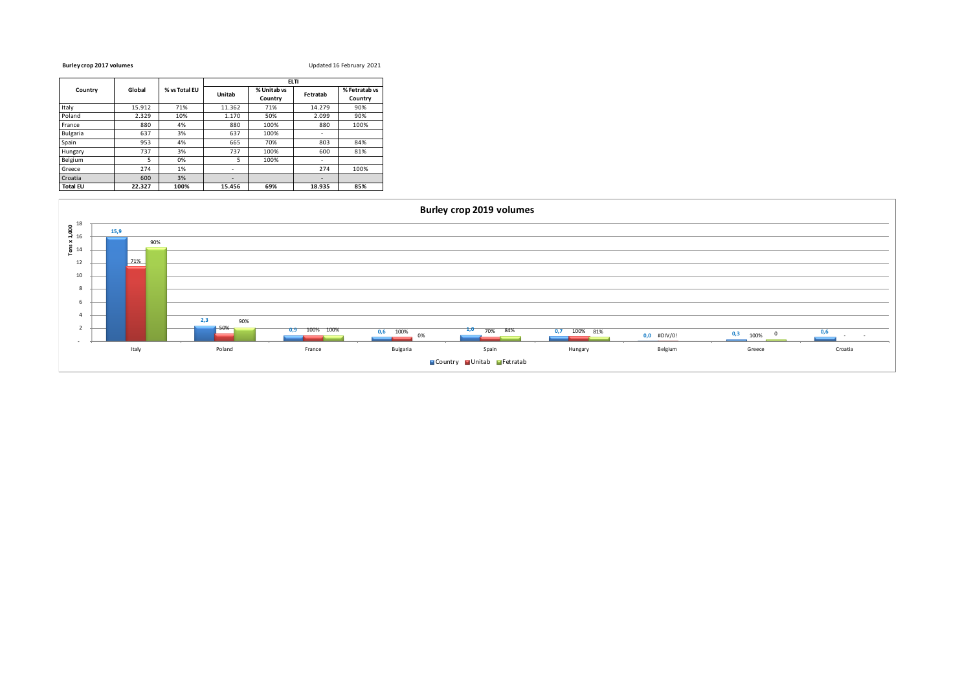### **Burley crop 2017 volumes** Updated 16 February 2021

|                 |        |               | <b>ELTI</b>              |                        |          |                          |  |  |  |
|-----------------|--------|---------------|--------------------------|------------------------|----------|--------------------------|--|--|--|
| Country         | Global | % vs Total EU | Unitab                   | % Unitab vs<br>Country | Fetratab | % Fetratab vs<br>Country |  |  |  |
| Italy           | 15.912 | 71%           | 11.362                   | 71%                    | 14.279   | 90%                      |  |  |  |
| Poland          | 2.329  | 10%           | 1.170                    | 50%                    | 2.099    | 90%                      |  |  |  |
| France          | 880    | 4%            | 880                      | 100%                   | 880      | 100%                     |  |  |  |
| <b>Bulgaria</b> | 637    | 3%            | 637                      | 100%                   | ٠        |                          |  |  |  |
| Spain           | 953    | 4%            | 665                      | 70%                    | 803      | 84%                      |  |  |  |
| Hungary         | 737    | 3%            | 737                      | 100%                   | 600      | 81%                      |  |  |  |
| Belgium         | 5      | 0%            | 5                        | 100%                   | ٠        |                          |  |  |  |
| Greece          | 274    | 1%            |                          |                        | 274      | 100%                     |  |  |  |
| Croatia         | 600    | 3%            | $\overline{\phantom{a}}$ |                        | ٠        |                          |  |  |  |
| <b>Total EU</b> | 22.327 | 100%          | 15.456                   | 69%                    | 18.935   | 85%                      |  |  |  |

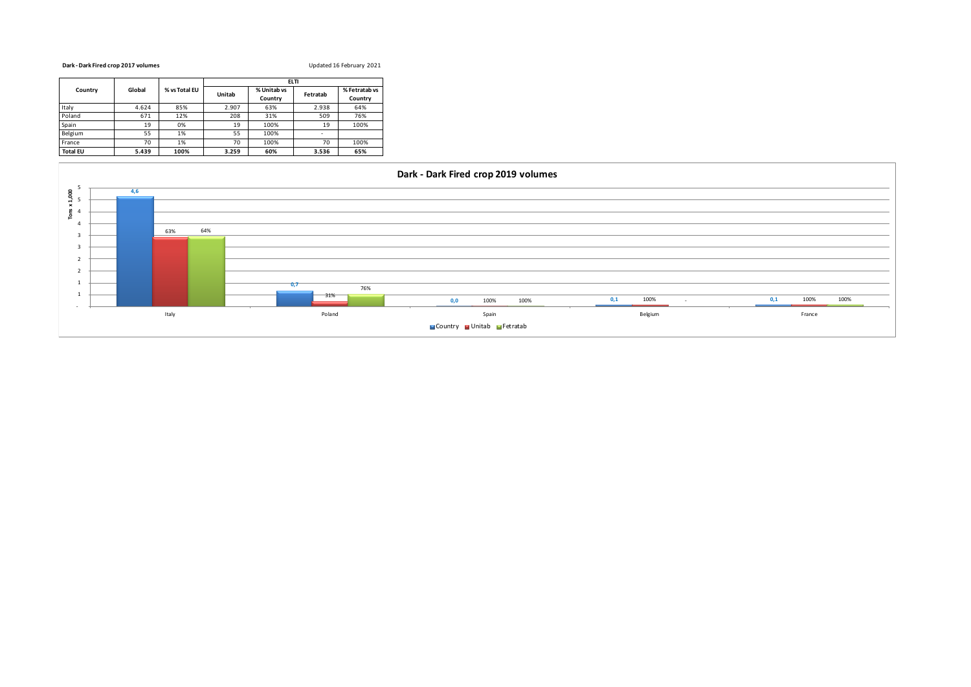### **Dark - Dark Fired crop 2017 volumes** Updated 16 February 2021

|                 |        |               | <b>ELTI</b> |                        |                          |                          |  |  |  |
|-----------------|--------|---------------|-------------|------------------------|--------------------------|--------------------------|--|--|--|
| Country         | Global | % vs Total EU | Unitab      | % Unitab vs<br>Country | Fetratab                 | % Fetratab vs<br>Country |  |  |  |
| Italy           | 4.624  | 85%           | 2.907       | 63%                    | 2.938                    | 64%                      |  |  |  |
| Poland          | 671    | 12%           | 208         | 31%                    | 509                      | 76%                      |  |  |  |
| Spain           | 19     | 0%            | 19          | 100%                   | 19                       | 100%                     |  |  |  |
| Belgium         | 55     | 1%            | 55          | 100%                   | $\overline{\phantom{a}}$ |                          |  |  |  |
| France          | 70     | 1%            | 70          | 100%                   | 70                       | 100%                     |  |  |  |
| <b>Total EU</b> | 5.439  | 100%          | 3.259       | 60%                    | 3.536                    | 65%                      |  |  |  |